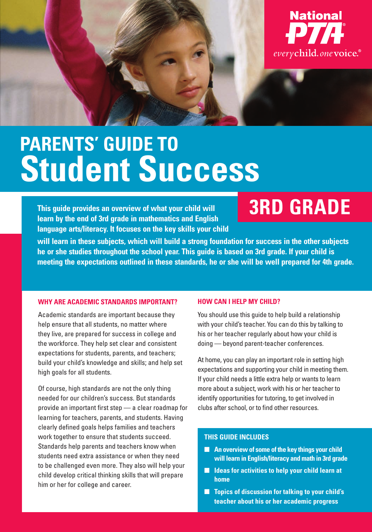

# **PARENTS' GUIDE TO Student Success**

**This guide provides an overview of what your child will learn by the end of 3rd grade in mathematics and English language arts/literacy. It focuses on the key skills your child** 

## **3RD GRADE**

**will learn in these subjects, which will build a strong foundation for success in the other subjects he or she studies throughout the school year. This guide is based on 3rd grade. If your child is meeting the expectations outlined in these standards, he or she will be well prepared for 4th grade.** 

#### **WHY ARE ACADEMIC STANDARDS IMPORTANT?**

Academic standards are important because they help ensure that all students, no matter where they live, are prepared for success in college and the workforce. They help set clear and consistent expectations for students, parents, and teachers; build your child's knowledge and skills; and help set high goals for all students.

Of course, high standards are not the only thing needed for our children's success. But standards provide an important first step — a clear roadmap for learning for teachers, parents, and students. Having clearly defined goals helps families and teachers work together to ensure that students succeed. Standards help parents and teachers know when students need extra assistance or when they need to be challenged even more. They also will help your child develop critical thinking skills that will prepare him or her for college and career.

#### **HOW CAN I HELP MY CHILD?**

You should use this guide to help build a relationship with your child's teacher. You can do this by talking to his or her teacher regularly about how your child is doing — beyond parent-teacher conferences.

At home, you can play an important role in setting high expectations and supporting your child in meeting them. If your child needs a little extra help or wants to learn more about a subject, work with his or her teacher to identify opportunities for tutoring, to get involved in clubs after school, or to find other resources.

#### **THIS GUIDE INCLUDES**

- An overview of some of the key things your child **will learn in English/literacy and math in 3rd grade**
- **Ideas for activities to help your child learn at home**
- **Topics of discussion for talking to your child's teacher about his or her academic progress**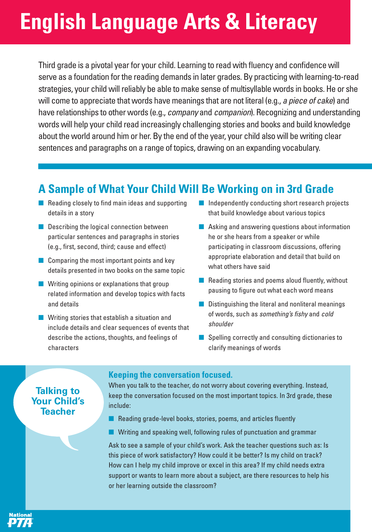# **English Language Arts & Literacy**

Third grade is a pivotal year for your child. Learning to read with fluency and confidence will serve as a foundation for the reading demands in later grades. By practicing with learning-to-read strategies, your child will reliably be able to make sense of multisyllable words in books. He or she will come to appreciate that words have meanings that are not literal (e.g., a piece of cake) and have relationships to other words (e.g., company and companion). Recognizing and understanding words will help your child read increasingly challenging stories and books and build knowledge about the world around him or her. By the end of the year, your child also will be writing clear sentences and paragraphs on a range of topics, drawing on an expanding vocabulary.

### **A Sample of What Your Child Will Be Working on in 3rd Grade**

- Reading closely to find main ideas and supporting details in a story
- Describing the logical connection between particular sentences and paragraphs in stories (e.g., first, second, third; cause and effect)
- $\blacksquare$  Comparing the most important points and key details presented in two books on the same topic
- Writing opinions or explanations that group related information and develop topics with facts and details
- Writing stories that establish a situation and include details and clear sequences of events that describe the actions, thoughts, and feelings of characters
- Independently conducting short research projects that build knowledge about various topics
- Asking and answering questions about information he or she hears from a speaker or while participating in classroom discussions, offering appropriate elaboration and detail that build on what others have said
- Reading stories and poems aloud fluently, without pausing to figure out what each word means
- Distinguishing the literal and nonliteral meanings of words, such as something's fishy and cold shoulder
- Spelling correctly and consulting dictionaries to clarify meanings of words

### **Talking to Your Child's Teacher**

National

#### **Keeping the conversation focused.**

When you talk to the teacher, do not worry about covering everything. Instead, keep the conversation focused on the most important topics. In 3rd grade, these include:

- Reading grade-level books, stories, poems, and articles fluently
- Writing and speaking well, following rules of punctuation and grammar

Ask to see a sample of your child's work. Ask the teacher questions such as: Is this piece of work satisfactory? How could it be better? Is my child on track? How can I help my child improve or excel in this area? If my child needs extra support or wants to learn more about a subject, are there resources to help his or her learning outside the classroom?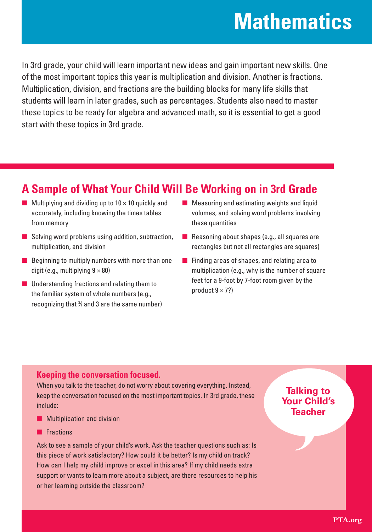## **Mathematics**

In 3rd grade, your child will learn important new ideas and gain important new skills. One of the most important topics this year is multiplication and division. Another is fractions. Multiplication, division, and fractions are the building blocks for many life skills that students will learn in later grades, such as percentages. Students also need to master these topics to be ready for algebra and advanced math, so it is essential to get a good start with these topics in 3rd grade.

### **A Sample of What Your Child Will Be Working on in 3rd Grade**

- $\blacksquare$  Multiplying and dividing up to 10  $\times$  10 quickly and accurately, including knowing the times tables from memory
- Solving word problems using addition, subtraction, multiplication, and division
- Beginning to multiply numbers with more than one digit (e.g., multiplying  $9 \times 80$ )
- Understanding fractions and relating them to the familiar system of whole numbers (e.g., recognizing that  $%$  and 3 are the same number)
- Measuring and estimating weights and liquid volumes, and solving word problems involving these quantities
- Reasoning about shapes (e.g., all squares are rectangles but not all rectangles are squares)
- Finding areas of shapes, and relating area to multiplication (e.g., why is the number of square feet for a 9-foot by 7-foot room given by the product  $9 \times 7$ ?)

### **Keeping the conversation focused.**

When you talk to the teacher, do not worry about covering everything. Instead, keep the conversation focused on the most important topics. In 3rd grade, these include:

- Multiplication and division
- Fractions

Ask to see a sample of your child's work. Ask the teacher questions such as: Is this piece of work satisfactory? How could it be better? Is my child on track? How can I help my child improve or excel in this area? If my child needs extra support or wants to learn more about a subject, are there resources to help his or her learning outside the classroom?

### **Talking to Your Child's Teacher**